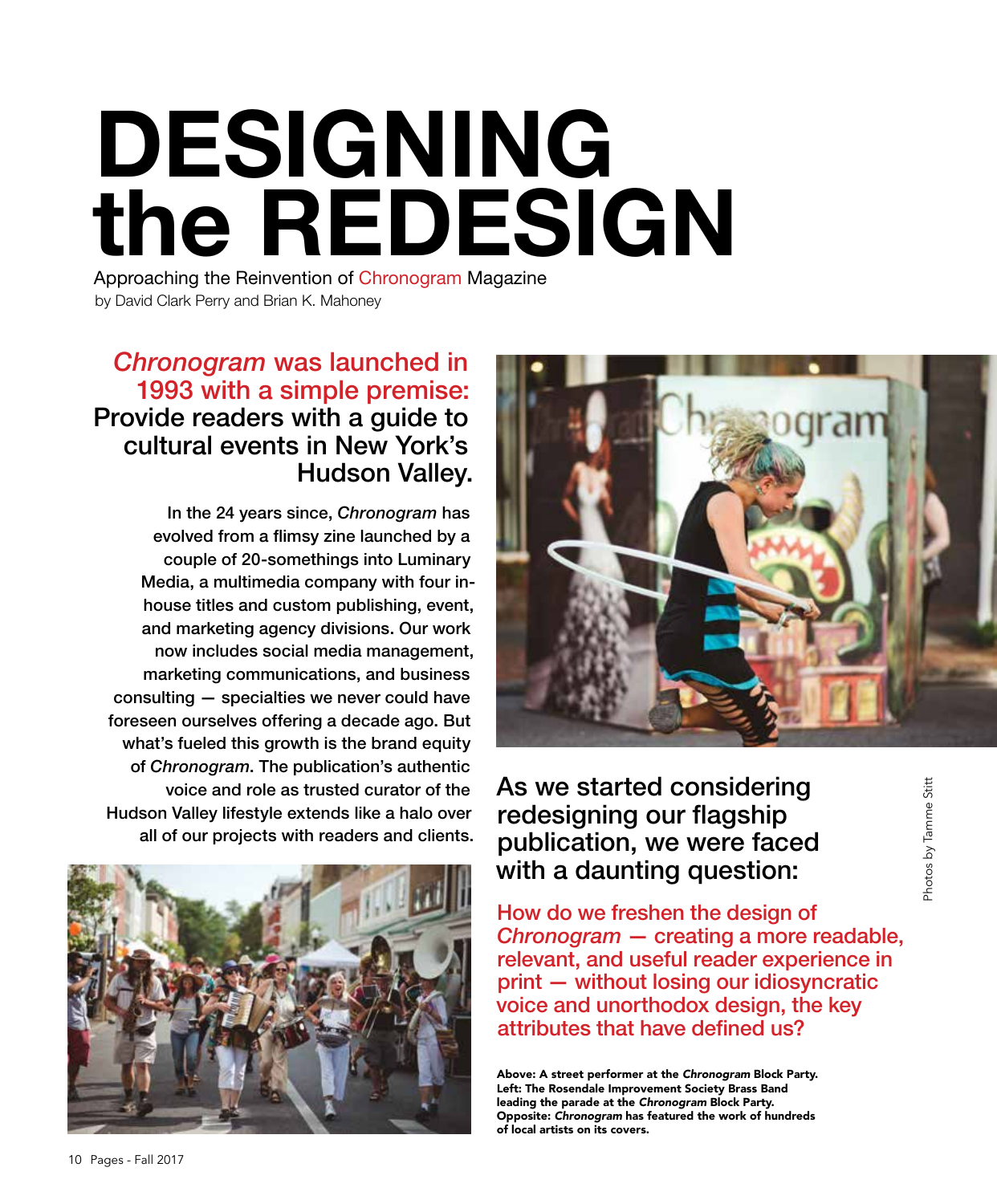# DESIGNING the REDESIGN

Approaching the Reinvention of Chronogram Magazine by David Clark Perry and Brian K. Mahoney

## *Chronogram* was launched in 1993 with a simple premise: Provide readers with a guide to cultural events in New York's Hudson Valley.

In the 24 years since, *Chronogram* has evolved from a flimsy zine launched by a couple of 20-somethings into Luminary Media, a multimedia company with four inhouse titles and custom publishing, event, and marketing agency divisions. Our work now includes social media management, marketing communications, and business consulting — specialties we never could have foreseen ourselves offering a decade ago. But what's fueled this growth is the brand equity of *Chronogram*. The publication's authentic voice and role as trusted curator of the Hudson Valley lifestyle extends like a halo over all of our projects with readers and clients.





As we started considering redesigning our flagship publication, we were faced with a daunting question:

How do we freshen the design of *Chronogram* — creating a more readable, relevant, and useful reader experience in print — without losing our idiosyncratic voice and unorthodox design, the key attributes that have defined us?

Above: A street performer at the *Chronogram* Block Party. Left: The Rosendale Improvement Society Brass Band leading the parade at the *Chronogram* Block Party. Opposite: *Chronogram* has featured the work of hundreds of local artists on its covers.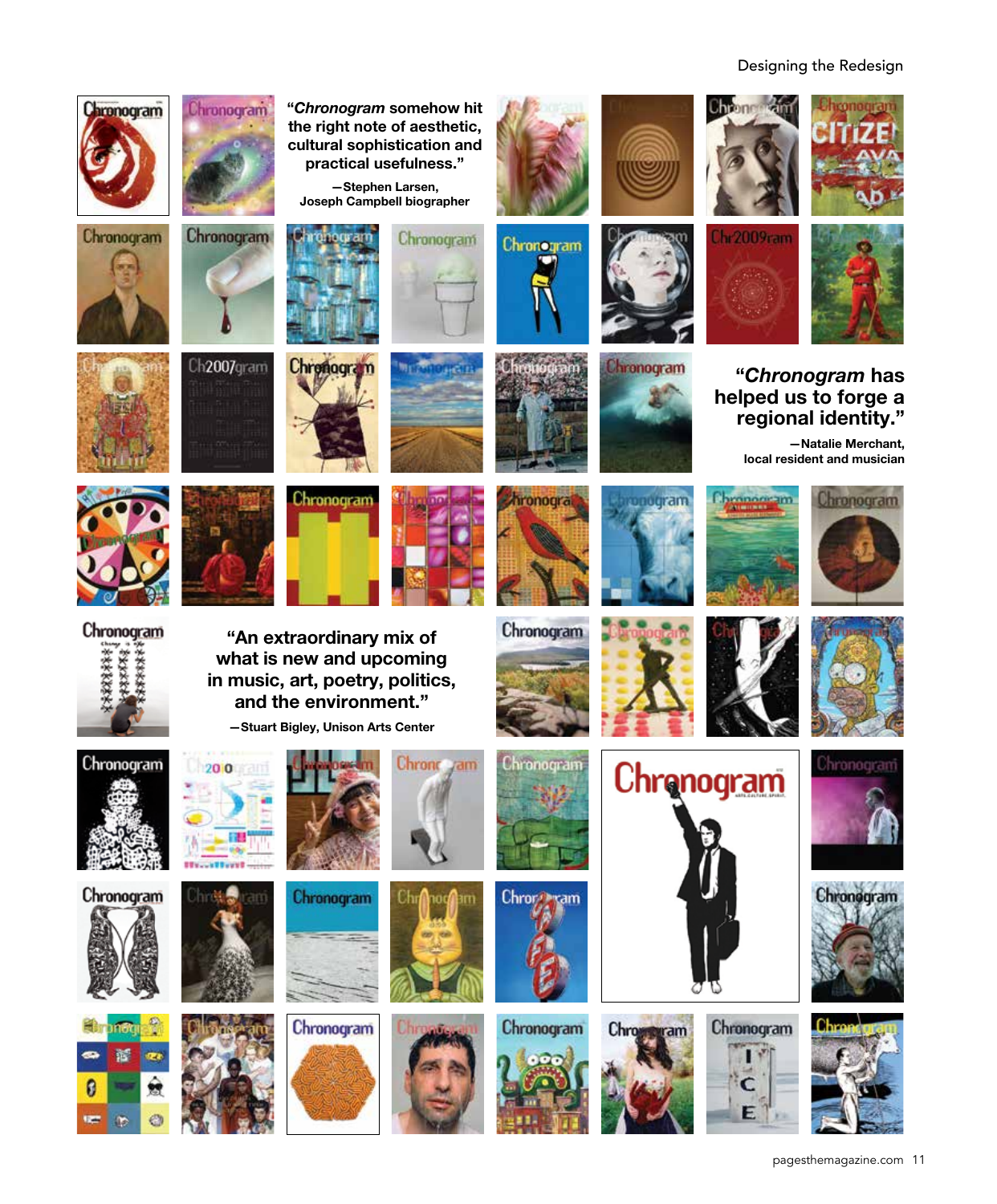#### Designing the Redesign

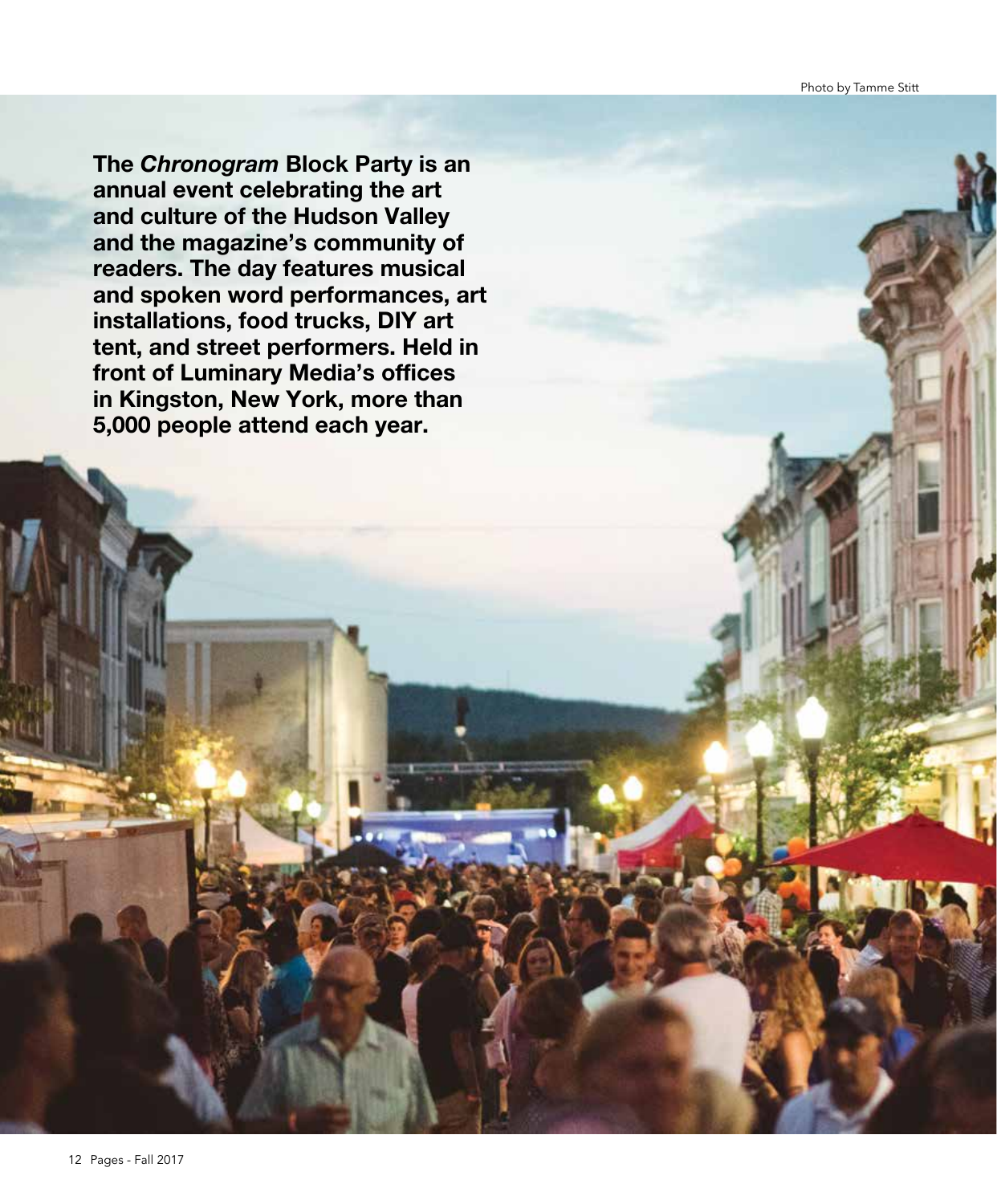Photo by Tamme Stitt

The *Chronogram* Block Party is an annual event celebrating the art and culture of the Hudson Valley and the magazine's community of readers. The day features musical and spoken word performances, art installations, food trucks, DIY art tent, and street performers. Held in front of Luminary Media's offices in Kingston, New York, more than 5,000 people attend each year.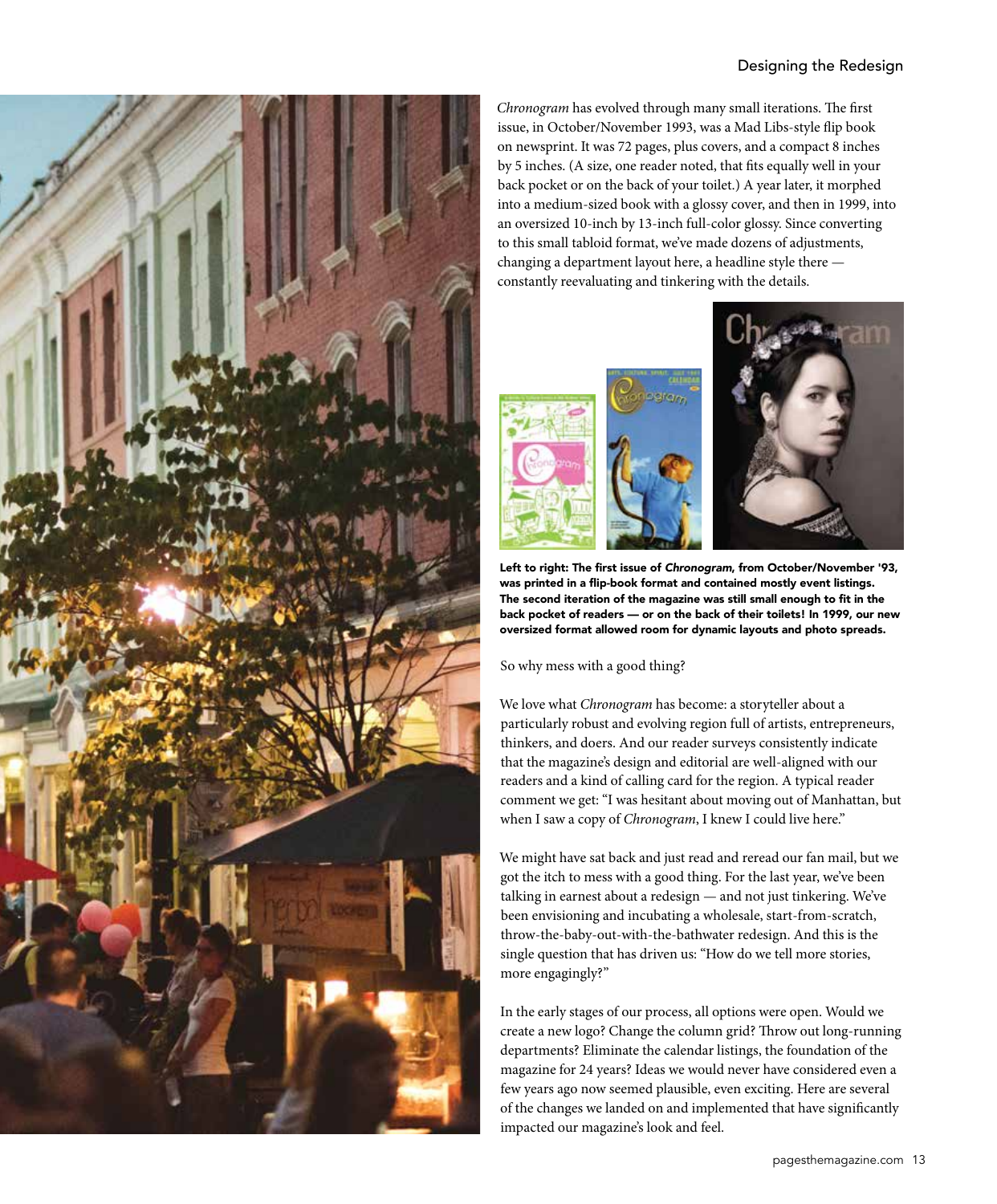#### Designing the Redesign



*Chronogram* has evolved through many small iterations. The first issue, in October/November 1993, was a Mad Libs-style flip book on newsprint. It was 72 pages, plus covers, and a compact 8 inches by 5 inches. (A size, one reader noted, that fits equally well in your back pocket or on the back of your toilet.) A year later, it morphed into a medium-sized book with a glossy cover, and then in 1999, into an oversized 10-inch by 13-inch full-color glossy. Since converting to this small tabloid format, we've made dozens of adjustments, changing a department layout here, a headline style there constantly reevaluating and tinkering with the details.



Left to right: The first issue of *Chronogram*, from October/November '93, was printed in a flip-book format and contained mostly event listings. The second iteration of the magazine was still small enough to fit in the back pocket of readers — or on the back of their toilets! In 1999, our new oversized format allowed room for dynamic layouts and photo spreads.

So why mess with a good thing?

We love what *Chronogram* has become: a storyteller about a particularly robust and evolving region full of artists, entrepreneurs, thinkers, and doers. And our reader surveys consistently indicate that the magazine's design and editorial are well-aligned with our readers and a kind of calling card for the region. A typical reader comment we get: "I was hesitant about moving out of Manhattan, but when I saw a copy of *Chronogram*, I knew I could live here."

We might have sat back and just read and reread our fan mail, but we got the itch to mess with a good thing. For the last year, we've been talking in earnest about a redesign — and not just tinkering. We've been envisioning and incubating a wholesale, start-from-scratch, throw-the-baby-out-with-the-bathwater redesign. And this is the single question that has driven us: "How do we tell more stories, more engagingly?"

In the early stages of our process, all options were open. Would we create a new logo? Change the column grid? Throw out long-running departments? Eliminate the calendar listings, the foundation of the magazine for 24 years? Ideas we would never have considered even a few years ago now seemed plausible, even exciting. Here are several of the changes we landed on and implemented that have significantly impacted our magazine's look and feel.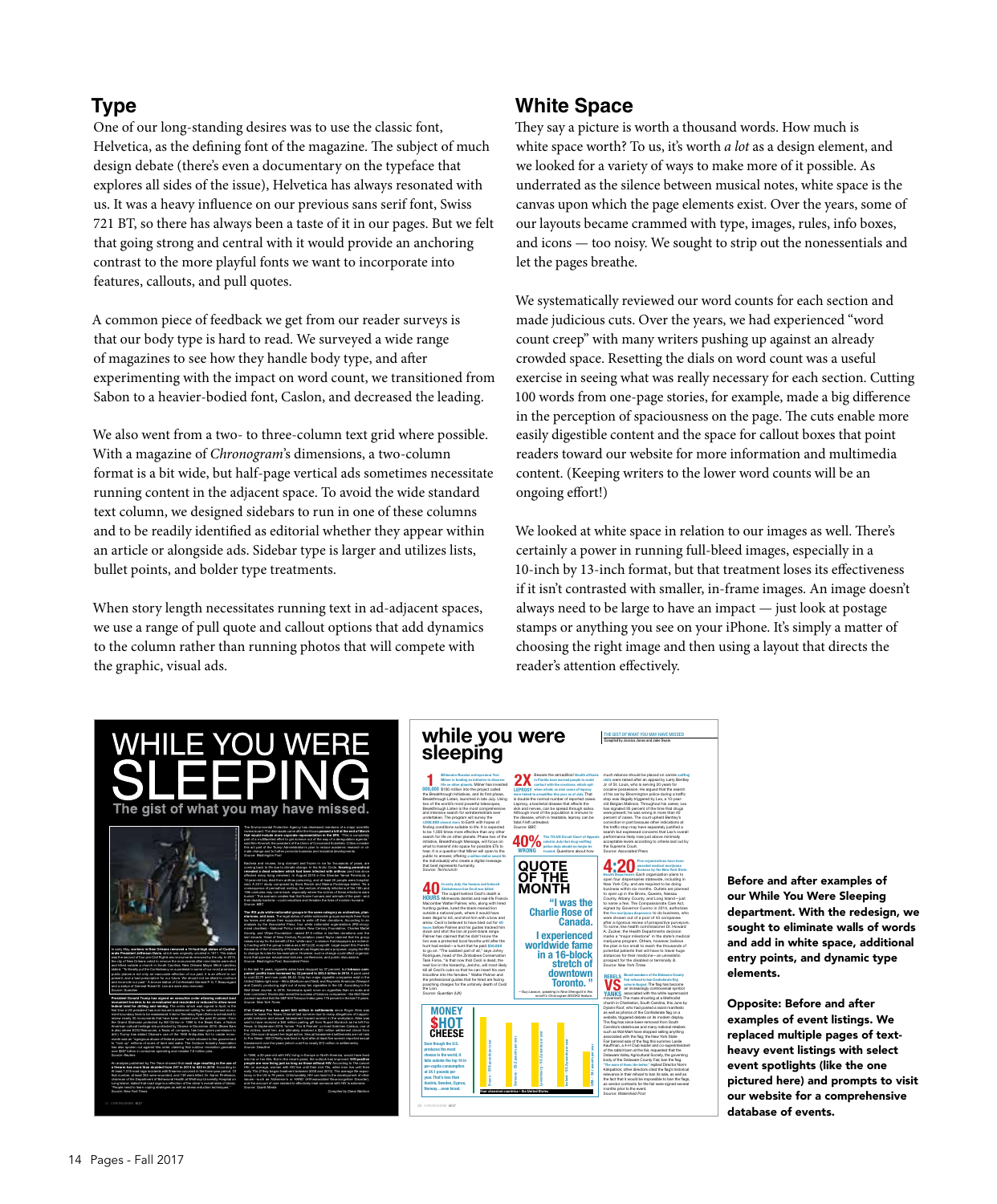## **Type**

One of our long-standing desires was to use the classic font, Helvetica, as the defining font of the magazine. The subject of much design debate (there's even a documentary on the typeface that explores all sides of the issue), Helvetica has always resonated with us. It was a heavy influence on our previous sans serif font, Swiss 721 BT, so there has always been a taste of it in our pages. But we felt that going strong and central with it would provide an anchoring contrast to the more playful fonts we want to incorporate into features, callouts, and pull quotes.

A common piece of feedback we get from our reader surveys is that our body type is hard to read. We surveyed a wide range of magazines to see how they handle body type, and after experimenting with the impact on word count, we transitioned from Sabon to a heavier-bodied font, Caslon, and decreased the leading.

We also went from a two- to three-column text grid where possible. With a magazine of *Chronogram*'s dimensions, a two-column format is a bit wide, but half-page vertical ads sometimes necessitate running content in the adjacent space. To avoid the wide standard text column, we designed sidebars to run in one of these columns and to be readily identified as editorial whether they appear within an article or alongside ads. Sidebar type is larger and utilizes lists, bullet points, and bolder type treatments.

When story length necessitates running text in ad-adjacent spaces, we use a range of pull quote and callout options that add dynamics to the column rather than running photos that will compete with the graphic, visual ads.

#### **White Space**

Iceland – 53.2 pounds per year USA – 34.1 pounds per year

"I was the

stretch of

Canada.

They say a picture is worth a thousand words. How much is white space worth? To us, it's worth *a lot* as a design element, and we looked for a variety of ways to make more of it possible. As underrated as the silence between musical notes, white space is the canvas upon which the page elements exist. Over the years, some of our layouts became crammed with type, images, rules, info boxes, and icons — too noisy. We sought to strip out the nonessentials and let the pages breathe.

We systematically reviewed our word counts for each section and made judicious cuts. Over the years, we had experienced "word count creep" with many writers pushing up against an already crowded space. Resetting the dials on word count was a useful exercise in seeing what was really necessary for each section. Cutting 100 words from one-page stories, for example, made a big difference in the perception of spaciousness on the page. The cuts enable more easily digestible content and the space for callout boxes that point readers toward our website for more information and multimedia content. (Keeping writers to the lower word counts will be an ongoing effort!)

We looked at white space in relation to our images as well. There's certainly a power in running full-bleed images, especially in a 10-inch by 13-inch format, but that treatment loses its effectiveness if it isn't contrasted with smaller, in-frame images. An image doesn't always need to be large to have an impact — just look at postage stamps or anything you see on your iPhone. It's simply a matter of choosing the right image and then using a layout that directs the reader's attention effectively.

THE GIST OF WHAT YOU MAY HAVE MISSED

Compiled by Jessica Jones and Jake Swain

much reliance should be placed on canine sniffing skills were raised after an appeal by Larry Bentley Jr. of St. Louis, who is serving 20 years for cocaine possession. He argued that the search of his car by Bloomington police during a traffic stop was illegally triggered by Lex, a 10-yearold Belgian Malinois. Throughout his career, Lex has signaled 93 percent of the time that drugs were present; he was wrong in more than 40 percent of cases. The court upheld Bentley's conviction in part because other indications at the traffic stop may have separately justified a search but expressed concerns that Lex's overall performance likely rose just above minimally acceptable levels according to criteria laid out by the Supreme Court. *Source: Associated Press* 

Five organizations have been awarded medical marijuana licenses by the New York State Health Department. Each organization plans to open four dispensaries statewide, including in New York City, and are required to be doing business within six months. Outlets are planned to open up in the Bronx, Queens, Nassau County, Albany County, and Long Island—just to name a few. The Compassionate Care Act, signed by Governor Cuomo in 2014, authorizes the five marijuana dispensers to do business, who were chosen out of a pool of 43 companies after a rigorous review of prospective purveyors. To some, like health commissioner Dr. Howard A. Zucker, the Health Departments decision marks a "major milestone" in the state's medical marijuana program. Others, however, believe the plan is too small to reach the thousands of potential patients that will have to travel huge distances for their medicine—an unrealistic prospect for the disabled or terminally ill. *Source: New York Times*

Board members of the Delaware County Fair refused to ban Confederate flag sales in August. The flag has become an increasingly controversial symbol associated with the white supremacist movement. The mass shooting at a Methodist church in Charleston, South Carolina, this June by Dylann Roof, who had posted a racist manifesto as well as photos of the Confederate flag on a website, triggered debate on its modern display. The flag has since been removed from South Carolina's statehouse and many national retailers such as Wal-Mart have stopped selling anything associated with the flag; the New York State Fair banned sale of the flag this summer. Leslie Kauffman, a 4-H Club leader and co-superintendent of the rabbit barn at the fair, requested that the Delaware Valley Agricultural Society, the governing body of the Delaware County Fair, ban the flag. "The more of them, the better," replied Director Norm Kirkpatrick; other directors cited the flag's historical relevance in their refusal to ban its sale, as well as the fact that it would be impossible to ban the flags, as vendor contracts for the fair were signed several months prior to the event. *Source: Watershed Post*

REBELS VS YANKS

4:20



Before and after examples of our While You Were Sleeping department. With the redesign, we sought to eliminate walls of words and add in white space, additional entry points, and dynamic type elements.

Opposite: Before and after examples of event listings. We replaced multiple pages of textheavy event listings with select event spotlights (like the one pictured here) and prompts to visit our website for a comprehensive database of events.